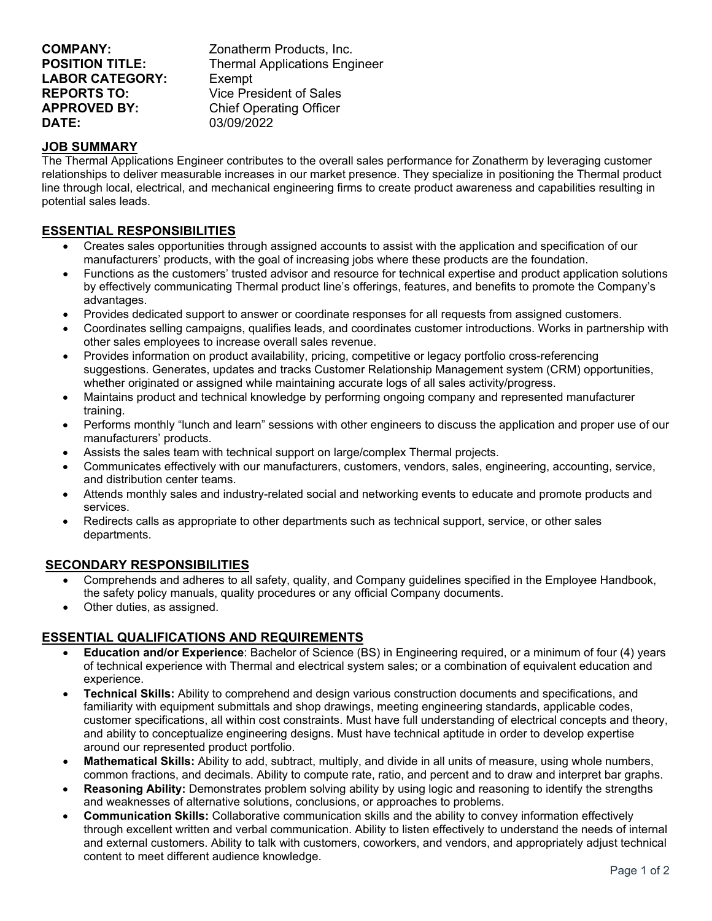| <b>COMPANY:</b>        | Zonatherm Products, Inc.             |
|------------------------|--------------------------------------|
| <b>POSITION TITLE:</b> | <b>Thermal Applications Engineer</b> |
| <b>LABOR CATEGORY:</b> | Exempt                               |
| <b>REPORTS TO:</b>     | Vice President of Sales              |
| <b>APPROVED BY:</b>    | <b>Chief Operating Officer</b>       |
| <b>DATE:</b>           | 03/09/2022                           |

## **JOB SUMMARY**

The Thermal Applications Engineer contributes to the overall sales performance for Zonatherm by leveraging customer relationships to deliver measurable increases in our market presence. They specialize in positioning the Thermal product line through local, electrical, and mechanical engineering firms to create product awareness and capabilities resulting in potential sales leads.

## **ESSENTIAL RESPONSIBILITIES**

- Creates sales opportunities through assigned accounts to assist with the application and specification of our manufacturers' products, with the goal of increasing jobs where these products are the foundation.
- Functions as the customers' trusted advisor and resource for technical expertise and product application solutions by effectively communicating Thermal product line's offerings, features, and benefits to promote the Company's advantages.
- Provides dedicated support to answer or coordinate responses for all requests from assigned customers.
- Coordinates selling campaigns, qualifies leads, and coordinates customer introductions. Works in partnership with other sales employees to increase overall sales revenue.
- Provides information on product availability, pricing, competitive or legacy portfolio cross-referencing suggestions. Generates, updates and tracks Customer Relationship Management system (CRM) opportunities, whether originated or assigned while maintaining accurate logs of all sales activity/progress.
- Maintains product and technical knowledge by performing ongoing company and represented manufacturer training.
- Performs monthly "lunch and learn" sessions with other engineers to discuss the application and proper use of our manufacturers' products.
- Assists the sales team with technical support on large/complex Thermal projects.
- Communicates effectively with our manufacturers, customers, vendors, sales, engineering, accounting, service, and distribution center teams.
- Attends monthly sales and industry-related social and networking events to educate and promote products and services.
- Redirects calls as appropriate to other departments such as technical support, service, or other sales departments.

## **SECONDARY RESPONSIBILITIES**

- Comprehends and adheres to all safety, quality, and Company guidelines specified in the Employee Handbook, the safety policy manuals, quality procedures or any official Company documents.
- Other duties, as assigned.

## **ESSENTIAL QUALIFICATIONS AND REQUIREMENTS**

- **Education and/or Experience**: Bachelor of Science (BS) in Engineering required, or a minimum of four (4) years of technical experience with Thermal and electrical system sales; or a combination of equivalent education and experience.
- **Technical Skills:** Ability to comprehend and design various construction documents and specifications, and familiarity with equipment submittals and shop drawings, meeting engineering standards, applicable codes, customer specifications, all within cost constraints. Must have full understanding of electrical concepts and theory, and ability to conceptualize engineering designs. Must have technical aptitude in order to develop expertise around our represented product portfolio.
- **Mathematical Skills:** Ability to add, subtract, multiply, and divide in all units of measure, using whole numbers, common fractions, and decimals. Ability to compute rate, ratio, and percent and to draw and interpret bar graphs.
- **Reasoning Ability:** Demonstrates problem solving ability by using logic and reasoning to identify the strengths and weaknesses of alternative solutions, conclusions, or approaches to problems.
- **Communication Skills:** Collaborative communication skills and the ability to convey information effectively through excellent written and verbal communication. Ability to listen effectively to understand the needs of internal and external customers. Ability to talk with customers, coworkers, and vendors, and appropriately adjust technical content to meet different audience knowledge.